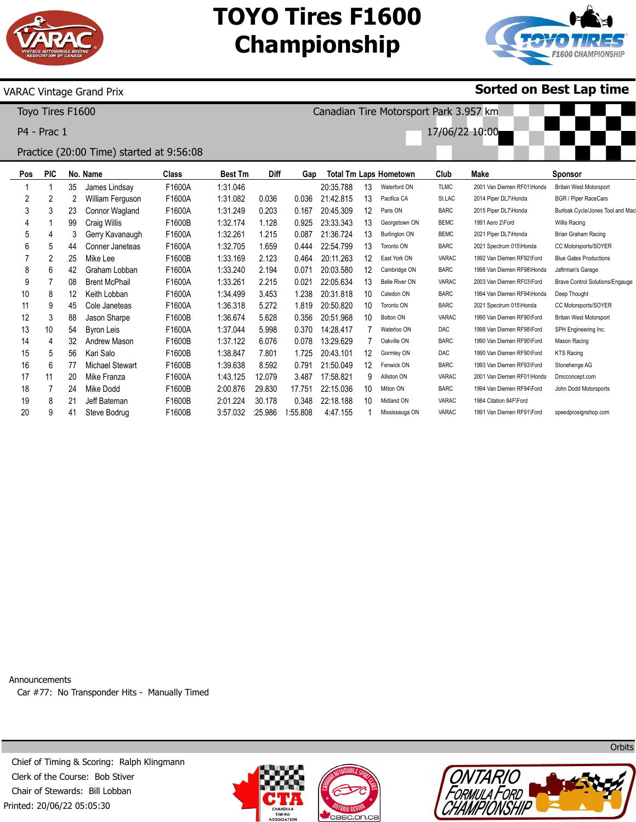

## **TOYO Tires F1600 Championship**

Canadian Tire Motorsport Park 3.957 km

17/06/22 10:00



**Sorted on Best Lap time**

### VARAC Vintage Grand Prix

Toyo Tires F1600

P4 - Prac 1

## Practice (20:00 Time) started at 9:56:08

| Pos | <b>PIC</b> |    | No. Name               | <b>Class</b> | <b>Best Tm</b> | Diff   | Gap     |           |    | <b>Total Tm Laps Hometown</b> | Club         | Make                       | <b>Sponsor</b>                         |
|-----|------------|----|------------------------|--------------|----------------|--------|---------|-----------|----|-------------------------------|--------------|----------------------------|----------------------------------------|
|     |            | 35 | James Lindsay          | F1600A       | 1:31.046       |        |         | 20:35.788 | 13 | Waterford ON                  | <b>TLMC</b>  | 2001 Van Diemen RF01\Honda | <b>Britain West Motorsport</b>         |
| 2   | 2          |    | William Ferguson       | F1600A       | 1:31.082       | 0.036  | 0.036   | 21:42.815 | 13 | Pacifica CA                   | St.LAC       | 2014 Piper DL7\Honda       | <b>BGR / Piper RaceCars</b>            |
| 3   | 3          | 23 | Connor Wagland         | F1600A       | 1:31.249       | 0.203  | 0.167   | 20:45.309 | 12 | Paris ON                      | <b>BARC</b>  | 2015 Piper DL7\Honda       | Burloak Cycle/Jones Tool and Mac       |
| 4   |            | 99 | Craig Willis           | F1600B       | 1:32.174       | 1.128  | 0.925   | 23:33.343 | 13 | Georgetown ON                 | <b>BEMC</b>  | 1991 Aero 2\Ford           | Willis Racing                          |
| 5   | 4          | 3  | Gerry Kavanaugh        | F1600A       | 1:32.261       | 1.215  | 0.087   | 21:36.724 | 13 | <b>Burlington ON</b>          | <b>BEMC</b>  | 2021 Piper DL7\Honda       | Brian Graham Racing                    |
| 6   | 5          | 44 | Conner Janeteas        | F1600A       | 1:32.705       | 1.659  | 0.444   | 22:54.799 | 13 | Toronto ON                    | <b>BARC</b>  | 2021 Spectrum 015\Honda    | CC Motorsports/SOYER                   |
|     | 2          | 25 | Mike Lee               | F1600B       | 1:33.169       | 2.123  | 0.464   | 20:11.263 | 12 | East York ON                  | <b>VARAC</b> | 1992 Van Diemen RF92\Ford  | <b>Blue Gates Productions</b>          |
| 8   | 6          | 42 | Graham Lobban          | F1600A       | 1:33.240       | 2.194  | 0.071   | 20:03.580 | 12 | Cambridge ON                  | <b>BARC</b>  | 1998 Van Diemen RF98\Honda | Jaftrman's Garage                      |
| 9   |            | 08 | <b>Brent McPhail</b>   | F1600A       | 1:33.261       | 2.215  | 0.021   | 22:05.634 | 13 | <b>Belle River ON</b>         | VARAC        | 2003 Van Diemen RF03\Ford  | <b>Brave Control Solutions/Engauge</b> |
| 10  | 8          | 12 | Keith Lobban           | F1600A       | 1:34.499       | 3.453  | 1.238   | 20:31.818 | 10 | Caledon ON                    | <b>BARC</b>  | 1994 Van Diemen RF94\Honda | Deep Thought                           |
| 11  | 9          | 45 | Cole Janeteas          | F1600A       | 1:36.318       | 5.272  | 1.819   | 20:50.820 | 10 | Toronto ON                    | <b>BARC</b>  | 2021 Spectrum 015\Honda    | CC Motorsports/SOYER                   |
| 12  | 3          | 88 | Jason Sharpe           | F1600B       | 1:36.674       | 5.628  | 0.356   | 20:51.968 | 10 | <b>Bolton ON</b>              | <b>VARAC</b> | 1990 Van Diemen RF90\Ford  | <b>Britain West Motorsport</b>         |
| 13  | 10         | 54 | <b>Byron Leis</b>      | F1600A       | 1:37.044       | 5.998  | 0.370   | 14:28.417 |    | Waterloo ON                   | <b>DAC</b>   | 1998 Van Diemen RF98\Ford  | SPH Engineering Inc.                   |
| 14  | 4          | 32 | Andrew Mason           | F1600B       | 1:37.122       | 6.076  | 0.078   | 13:29.629 |    | Oakville ON                   | <b>BARC</b>  | 1990 Van Diemen RF90\Ford  | Mason Racing                           |
| 15  | 5          | 56 | Kari Salo              | F1600B       | 1:38.847       | 7.801  | 1.725   | 20:43.101 | 12 | Gormley ON                    | <b>DAC</b>   | 1990 Van Diemen RF90\Ford  | <b>KTS Racing</b>                      |
| 16  | 6          | 77 | <b>Michael Stewart</b> | F1600B       | 1:39.638       | 8.592  | 0.791   | 21:50.049 | 12 | Fenwick ON                    | <b>BARC</b>  | 1993 Van Diemen RF93\Ford  | Stonehenge AG                          |
| 17  | 11         | 20 | Mike Franza            | F1600A       | 1:43.125       | 12.079 | 3.487   | 17:58.821 | 9  | Alliston ON                   | <b>VARAC</b> | 2001 Van Diemen RF01\Honda | Dmcconcept.com                         |
| 18  |            | 24 | Mike Dodd              | F1600B       | 2:00.876       | 29.830 | 17.751  | 22:15.036 | 10 | Milton ON                     | <b>BARC</b>  | 1994 Van Diemen RF94\Ford  | John Dodd Motorsports                  |
| 19  | 8          | 21 | Jeff Bateman           | F1600B       | 2:01.224       | 30.178 | 0.348   | 22:18.188 | 10 | Midland ON                    | <b>VARAC</b> | 1984 Citation 84F\Ford     |                                        |
| 20  | 9          | 41 | Steve Bodrug           | F1600B       | 3:57.032       | 25.986 | :55.808 | 4:47.155  |    | Mississauga ON                | VARAC        | 1991 Van Diemen RF91\Ford  | speedprosignshop.com                   |

Announcements Car #77: No Transponder Hits - Manually Timed

Printed: 20/06/22 05:05:30 Chief of Timing & Scoring: Ralph Klingmann Clerk of the Course: Bob Stiver Chair of Stewards: Bill Lobban







**Orbits**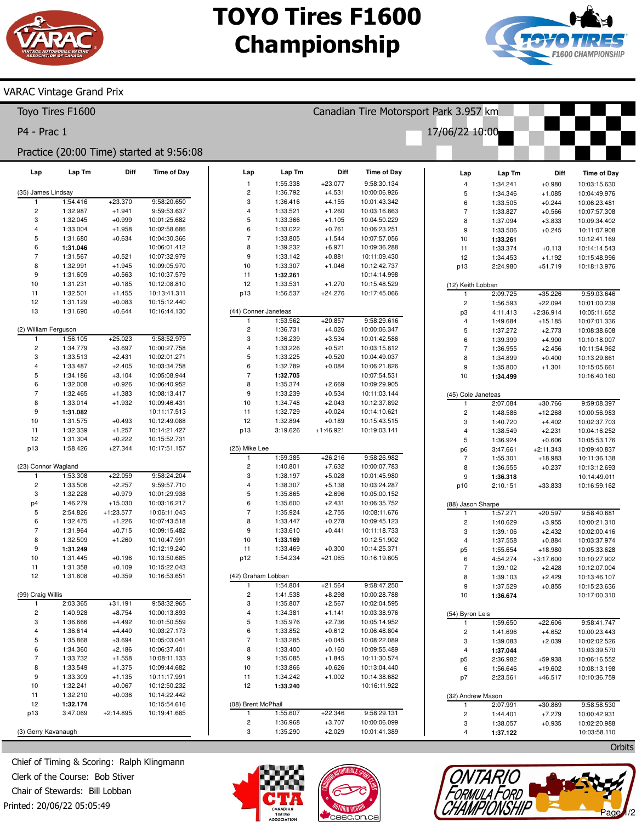# **TOYO Tires F1600 Championship**



### VARAC Vintage Grand Prix

|                                          | Toyo Tires F1600     |                      |                              |                                      | Canadian Tire Motorsport Park 3.957 km |                      |                                   |                                        |                      |                       |                              |  |  |
|------------------------------------------|----------------------|----------------------|------------------------------|--------------------------------------|----------------------------------------|----------------------|-----------------------------------|----------------------------------------|----------------------|-----------------------|------------------------------|--|--|
| P4 - Prac 1                              |                      |                      |                              |                                      |                                        |                      |                                   | 17/06/22 10:00                         |                      |                       |                              |  |  |
| Practice (20:00 Time) started at 9:56:08 |                      |                      |                              |                                      |                                        |                      |                                   |                                        |                      |                       |                              |  |  |
| Lap                                      | Lap Tm               | Diff                 | <b>Time of Day</b>           | Lap<br>$\mathbf{1}$                  | Lap Tm<br>1:55.338                     | Diff<br>$+23.077$    | <b>Time of Day</b><br>9:58:30.134 | Lap                                    | Lap Tm               | Diff                  | <b>Time of Day</b>           |  |  |
| (35) James Lindsay                       |                      |                      |                              | $\overline{c}$                       | 1:36.792                               | $+4.531$             | 10:00:06.926                      | $\overline{\mathbf{4}}$<br>$\mathbf 5$ | 1:34.241<br>1:34.346 | $+0.980$<br>$+1.085$  | 10:03:15.630<br>10:04:49.976 |  |  |
| $\overline{1}$                           | 1:54.416             | $+23.370$            | 9:58:20.650                  | 3                                    | 1:36.416                               | $+4.155$             | 10:01:43.342                      | 6                                      | 1:33.505             | $+0.244$              | 10:06:23.481                 |  |  |
| $\mathbf 2$                              | 1:32.987             | $+1.941$             | 9:59:53.637                  | $\overline{4}$                       | 1:33.521                               | $+1.260$             | 10:03:16.863                      | $\overline{7}$                         | 1:33.827             | $+0.566$              | 10:07:57.308                 |  |  |
| 3                                        | 1:32.045             | $+0.999$             | 10:01:25.682                 | 5                                    | 1:33.366                               | $+1.105$             | 10:04:50.229                      | 8                                      | 1:37.094             | $+3.833$              | 10:09:34.402                 |  |  |
| 4                                        | 1:33.004             | $+1.958$             | 10:02:58.686                 | 6                                    | 1:33.022                               | $+0.761$             | 10:06:23.251                      | $\boldsymbol{9}$                       | 1:33.506             | $+0.245$              | 10:11:07.908                 |  |  |
| 5                                        | 1:31.680             | $+0.634$             | 10:04:30.366                 | $\overline{7}$                       | 1:33.805                               | $+1.544$             | 10:07:57.056                      | 10                                     | 1:33.261             |                       | 10:12:41.169                 |  |  |
| 6                                        | 1:31.046             |                      | 10:06:01.412                 | 8                                    | 1:39.232                               | $+6.971$             | 10:09:36.288                      | 11                                     | 1:33.374             | $+0.113$              | 10:14:14.543                 |  |  |
| $\overline{7}$                           | 1:31.567             | $+0.521$             | 10:07:32.979                 | 9                                    | 1:33.142                               | $+0.881$             | 10:11:09.430                      | 12                                     | 1:34.453             | $+1.192$              | 10:15:48.996                 |  |  |
| 8                                        | 1:32.991             | $+1.945$             | 10:09:05.970                 | 10                                   | 1:33.307                               | $+1.046$             | 10:12:42.737                      | p13                                    | 2:24.980             | $+51.719$             | 10:18:13.976                 |  |  |
| 9                                        | 1:31.609             | $+0.563$             | 10:10:37.579                 | 11                                   | 1:32.261                               |                      | 10:14:14.998                      |                                        |                      |                       |                              |  |  |
| 10                                       | 1:31.231             | $+0.185$             | 10:12:08.810                 | 12                                   | 1:33.531                               | $+1.270$             | 10:15:48.529                      | (12) Keith Lobban                      |                      |                       |                              |  |  |
| 11                                       | 1:32.501             | $+1.455$             | 10:13:41.311                 | p13                                  | 1:56.537                               | $+24.276$            | 10:17:45.066                      | $\mathbf{1}$                           | 2:09.725             | $+35.226$             | 9:59:03.646                  |  |  |
| 12                                       | 1:31.129             | $+0.083$             | 10:15:12.440                 |                                      |                                        |                      |                                   | $\overline{\mathbf{c}}$                | 1:56.593             | $+22.094$             | 10:01:00.239                 |  |  |
| 13                                       | 1:31.690             | $+0.644$             | 10:16:44.130                 | (44) Conner Janeteas<br>$\mathbf{1}$ | 1:53.562                               | $+20.857$            | 9:58:29.616                       | p3                                     | 4:11.413             | $+2:36.914$           | 10:05:11.652                 |  |  |
| (2) William Ferguson                     |                      |                      |                              | $\overline{c}$                       | 1:36.731                               | $+4.026$             | 10:00:06.347                      | $\overline{\mathbf{4}}$<br>$\mathbf 5$ | 1:49.684<br>1:37.272 | $+15.185$<br>$+2.773$ | 10:07:01.336<br>10:08:38.608 |  |  |
| $\overline{1}$                           | 1:56.105             | $+25.023$            | 9:58:52.979                  | 3                                    | 1:36.239                               | $+3.534$             | 10:01:42.586                      | 6                                      | 1:39.399             | $+4.900$              | 10:10:18.007                 |  |  |
| $\mathbf 2$                              | 1:34.779             | $+3.697$             | 10:00:27.758                 | $\overline{4}$                       | 1:33.226                               | $+0.521$             | 10:03:15.812                      | $\overline{7}$                         | 1:36.955             | $+2.456$              | 10:11:54.962                 |  |  |
| 3                                        | 1:33.513             | $+2.431$             | 10:02:01.271                 | 5                                    | 1:33.225                               | $+0.520$             | 10:04:49.037                      | 8                                      | 1:34.899             | $+0.400$              | 10:13:29.861                 |  |  |
| 4                                        | 1:33.487             | $+2.405$             | 10:03:34.758                 | 6                                    | 1:32.789                               | $+0.084$             | 10:06:21.826                      | $\boldsymbol{9}$                       | 1:35.800             | $+1.301$              | 10:15:05.661                 |  |  |
| 5                                        | 1:34.186             | $+3.104$             | 10:05:08.944                 | $\overline{7}$                       | 1:32.705                               |                      | 10:07:54.531                      | 10                                     | 1:34.499             |                       | 10:16:40.160                 |  |  |
| 6                                        | 1:32.008             | $+0.926$             | 10:06:40.952                 | 8                                    | 1:35.374                               | $+2.669$             | 10:09:29.905                      |                                        |                      |                       |                              |  |  |
| $\overline{7}$                           | 1:32.465             | $+1.383$             | 10:08:13.417                 | 9                                    | 1:33.239                               | $+0.534$             | 10:11:03.144                      |                                        | (45) Cole Janeteas   |                       |                              |  |  |
| 8                                        | 1:33.014             | $+1.932$             | 10:09:46.431                 | 10                                   | 1:34.748                               | $+2.043$             | 10:12:37.892                      | $\mathbf{1}$                           | 2:07.084             | $+30.766$             | 9:59:08.397                  |  |  |
| 9                                        | 1:31.082             |                      | 10:11:17.513                 | 11                                   | 1:32.729                               | $+0.024$             | 10:14:10.621                      | $\overline{\mathbf{c}}$                | 1:48.586             | $+12.268$             | 10:00:56.983                 |  |  |
| 10                                       | 1:31.575             | $+0.493$             | 10:12:49.088                 | 12                                   | 1:32.894                               | $+0.189$             | 10:15:43.515                      | 3                                      | 1:40.720             | $+4.402$              | 10:02:37.703                 |  |  |
| 11                                       | 1:32.339             | $+1.257$             | 10:14:21.427                 | p13                                  | 3:19.626                               | $+1:46.921$          | 10:19:03.141                      | $\sqrt{4}$                             | 1:38.549             | $+2.231$              | 10:04:16.252                 |  |  |
| 12                                       | 1:31.304             | $+0.222$             | 10:15:52.731                 |                                      |                                        |                      |                                   | $\sqrt{5}$                             | 1:36.924             | $+0.606$              | 10:05:53.176                 |  |  |
| p13                                      | 1:58.426             | $+27.344$            | 10:17:51.157                 | (25) Mike Lee                        |                                        |                      |                                   | p <sub>6</sub>                         | 3:47.661             | $+2:11.343$           | 10:09:40.837                 |  |  |
|                                          |                      |                      |                              | $\mathbf{1}$                         | 1:59.385                               | $+26.216$            | 9:58:26.982                       | $\sqrt{ }$                             | 1:55.301             | $+18.983$             | 10:11:36.138                 |  |  |
| (23) Connor Wagland<br>$\overline{1}$    | 1:53.308             | $+22.059$            | 9:58:24.204                  | $\overline{c}$<br>3                  | 1:40.801<br>1:38.197                   | $+7.632$<br>$+5.028$ | 10:00:07.783<br>10:01:45.980      | 8                                      | 1:36.555             | $+0.237$              | 10:13:12.693                 |  |  |
| $\mathbf 2$                              | 1:33.506             | $+2.257$             | 9:59:57.710                  | $\overline{4}$                       | 1:38.307                               | $+5.138$             | 10:03:24.287                      | $\boldsymbol{9}$<br>p10                | 1:36.318             | $+33.833$             | 10:14:49.011                 |  |  |
| 3                                        | 1:32.228             | $+0.979$             | 10:01:29.938                 | 5                                    | 1:35.865                               | $+2.696$             | 10:05:00.152                      |                                        | 2:10.151             |                       | 10:16:59.162                 |  |  |
| p4                                       | 1:46.279             | $+15.030$            | 10:03:16.217                 | 6                                    | 1:35.600                               | $+2.431$             | 10:06:35.752                      | (88) Jason Sharpe                      |                      |                       |                              |  |  |
| 5                                        | 2:54.826             | $+1:23.577$          | 10:06:11.043                 | $\overline{7}$                       | 1:35.924                               | $+2.755$             | 10:08:11.676                      | $\mathbf{1}$                           | 1:57.271             | $+20.597$             | 9:58:40.681                  |  |  |
| 6                                        | 1:32.475             | $+1.226$             | 10:07:43.518                 | 8                                    | 1:33.447                               | $+0.278$             | 10:09:45.123                      | $\mathbf 2$                            | 1:40.629             | $+3.955$              | 10:00:21.310                 |  |  |
| $\overline{7}$                           | 1:31.964             | $+0.715$             | 10:09:15.482                 | 9                                    | 1:33.610                               | $+0.441$             | 10:11:18.733                      | 3                                      | 1:39.106             | $+2.432$              | 10:02:00.416                 |  |  |
| 8                                        | 1:32.509             | $+1.260$             | 10:10:47.991                 | 10                                   | 1:33.169                               |                      | 10:12:51.902                      | $\overline{4}$                         | 1:37.558             | $+0.884$              | 10:03:37.974                 |  |  |
| 9                                        | 1:31.249             |                      | 10:12:19.240                 | 11                                   | 1:33.469                               | $+0.300$             | 10:14:25.371                      | p <sub>5</sub>                         | 1:55.654             | +18.980               | 10:05:33.628                 |  |  |
| 10                                       | 1:31.445             | $+0.196$             | 10:13:50.685                 | p12                                  | 1:54.234                               | $+21.065$            | 10:16:19.605                      | $\,6\,$                                | 4:54.274             | $+3:17.600$           | 10:10:27.902                 |  |  |
| 11                                       | 1:31.358             | $+0.109$             | 10:15:22.043                 |                                      |                                        |                      |                                   | $\overline{7}$                         | 1:39.102             | $+2.428$              | 10:12:07.004                 |  |  |
| 12                                       | 1:31.608             | $+0.359$             | 10:16:53.651                 | (42) Graham Lobban                   |                                        |                      |                                   | 8                                      | 1:39.103             | $+2.429$              | 10:13:46.107                 |  |  |
|                                          |                      |                      |                              | $\mathbf{1}$                         | 1:54.804                               | $+21.564$            | 9:58:47.250                       | $\boldsymbol{9}$                       | 1:37.529             | $+0.855$              | 10:15:23.636                 |  |  |
| (99) Craig Willis                        |                      |                      |                              | $\overline{\mathbf{c}}$              | 1:41.538                               | $+8.298$             | 10:00:28.788                      | 10                                     | 1:36.674             |                       | 10:17:00.310                 |  |  |
| $\mathbf{1}$                             | 2:03.365             | $+31.191$            | 9:58:32.965                  | 3                                    | 1:35.807                               | $+2.567$             | 10:02:04.595                      |                                        |                      |                       |                              |  |  |
| $\overline{c}$<br>3                      | 1:40.928             | $+8.754$             | 10:00:13.893                 | 4<br>5                               | 1:34.381                               | $+1.141$             | 10:03:38.976<br>10:05:14.952      | (54) Byron Leis                        |                      |                       |                              |  |  |
|                                          | 1:36.666             | $+4.492$             | 10:01:50.559                 |                                      | 1:35.976                               | $+2.736$             | 10:06:48.804                      | $\mathbf{1}$                           | 1:59.650             | $+22.606$             | 9:58:41.747                  |  |  |
| 4<br>5                                   | 1:36.614<br>1:35.868 | $+4.440$<br>$+3.694$ | 10:03:27.173<br>10:05:03.041 | 6<br>$\overline{7}$                  | 1:33.852<br>1:33.285                   | $+0.612$<br>$+0.045$ | 10:08:22.089                      | $\sqrt{2}$<br>3                        | 1:41.696<br>1:39.083 | $+4.652$<br>$+2.039$  | 10:00:23.443<br>10:02:02.526 |  |  |
| 6                                        | 1:34.360             | $+2.186$             | 10:06:37.401                 | 8                                    | 1:33.400                               | $+0.160$             | 10:09:55.489                      | $\sqrt{4}$                             | 1:37.044             |                       | 10:03:39.570                 |  |  |
| $\overline{7}$                           | 1:33.732             | $+1.558$             | 10:08:11.133                 | 9                                    | 1:35.085                               | $+1.845$             | 10:11:30.574                      | p <sub>5</sub>                         | 2:36.982             | +59.938               | 10:06:16.552                 |  |  |
| 8                                        | 1:33.549             | $+1.375$             | 10:09:44.682                 | 10                                   | 1:33.866                               | $+0.626$             | 10:13:04.440                      | $\,6\,$                                | 1:56.646             | $+19.602$             | 10:08:13.198                 |  |  |
| 9                                        | 1:33.309             | $+1.135$             | 10:11:17.991                 | 11                                   | 1:34.242                               | $+1.002$             | 10:14:38.682                      | p7                                     | 2:23.561             | $+46.517$             | 10:10:36.759                 |  |  |
| 10                                       | 1:32.241             | $+0.067$             | 10:12:50.232                 | 12                                   | 1:33.240                               |                      | 10:16:11.922                      |                                        |                      |                       |                              |  |  |
| 11                                       | 1:32.210             | $+0.036$             | 10:14:22.442                 |                                      |                                        |                      |                                   |                                        | (32) Andrew Mason    |                       |                              |  |  |
| 12                                       | 1:32.174             |                      | 10:15:54.616                 | (08) Brent McPhail                   |                                        |                      |                                   | $\mathbf{1}$                           | 2:07.991             | $+30.869$             | 9:58:58.530                  |  |  |
| p13                                      | 3:47.069             | $+2:14.895$          | 10:19:41.685                 | 1                                    | 1:55.607                               | $+22.346$            | 9:58:29.131                       | $\mathbf 2$                            | 1:44.401             | $+7.279$              | 10:00:42.931                 |  |  |
|                                          |                      |                      |                              | $\overline{c}$                       | 1:36.968                               | $+3.707$             | 10:00:06.099                      | 3                                      | 1:38.057             | $+0.935$              | 10:02:20.988                 |  |  |
| (3) Gerry Kavanaugh                      |                      |                      |                              | 3                                    | 1:35.290                               | $+2.029$             | 10:01:41.389                      | 4                                      | 1:37.122             |                       | 10:03:58.110                 |  |  |

Printed: 20/06/22 05:05:49 Chief of Timing & Scoring: Ralph Klingmann Clerk of the Course: Bob Stiver Chair of Stewards: Bill Lobban





**Orbits** 

Page 1/2

 $\mathcal{N}$  where  $\mathcal{N}$ 

TONTARIO<br>Formula Ford<br>CHAMPIONSHIP